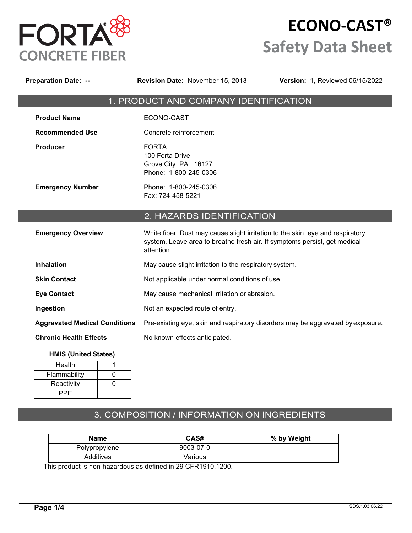

I

# **ECONO-CAST® Safety Data Sheet**

| <b>Preparation Date: --</b>                                               | <b>Revision Date: November 15, 2013</b>                                                                                                                                   | Version: 1, Reviewed 06/15/2022 |
|---------------------------------------------------------------------------|---------------------------------------------------------------------------------------------------------------------------------------------------------------------------|---------------------------------|
|                                                                           | 1. PRODUCT AND COMPANY IDENTIFICATION                                                                                                                                     |                                 |
| <b>Product Name</b>                                                       | ECONO-CAST                                                                                                                                                                |                                 |
| <b>Recommended Use</b>                                                    | Concrete reinforcement                                                                                                                                                    |                                 |
| <b>Producer</b>                                                           | <b>FORTA</b><br>100 Forta Drive<br>Grove City, PA 16127<br>Phone: 1-800-245-0306                                                                                          |                                 |
| <b>Emergency Number</b>                                                   | Phone: 1-800-245-0306<br>Fax: 724-458-5221                                                                                                                                |                                 |
|                                                                           | 2. HAZARDS IDENTIFICATION                                                                                                                                                 |                                 |
| <b>Emergency Overview</b>                                                 | White fiber. Dust may cause slight irritation to the skin, eye and respiratory<br>system. Leave area to breathe fresh air. If symptoms persist, get medical<br>attention. |                                 |
| <b>Inhalation</b>                                                         | May cause slight irritation to the respiratory system.                                                                                                                    |                                 |
| <b>Skin Contact</b>                                                       | Not applicable under normal conditions of use.                                                                                                                            |                                 |
| <b>Eye Contact</b>                                                        | May cause mechanical irritation or abrasion.                                                                                                                              |                                 |
| Ingestion                                                                 | Not an expected route of entry.                                                                                                                                           |                                 |
| <b>Aggravated Medical Conditions</b>                                      | Pre-existing eye, skin and respiratory disorders may be aggravated by exposure.                                                                                           |                                 |
| <b>Chronic Health Effects</b>                                             | No known effects anticipated.                                                                                                                                             |                                 |
| <b>HMIS (United States)</b><br>Health<br>1<br>$\mathbf 0$<br>Flammability |                                                                                                                                                                           |                                 |

# 3. COMPOSITION / INFORMATION ON INGREDIENTS

| Name          | CAS#      | % by Weight |
|---------------|-----------|-------------|
| Polypropylene | 9003-07-0 |             |
| Additives     | Various   |             |

This product is non-hazardous as defined in 29 CFR1910.1200.

Reactivity | 0

PPE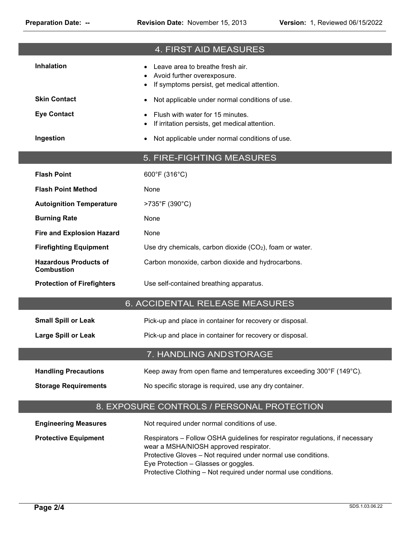|                                                   | 4. FIRST AID MEASURES                                                                                                                                                                                                                                                                               |
|---------------------------------------------------|-----------------------------------------------------------------------------------------------------------------------------------------------------------------------------------------------------------------------------------------------------------------------------------------------------|
| <b>Inhalation</b>                                 | Leave area to breathe fresh air.<br>Avoid further overexposure.<br>If symptoms persist, get medical attention.                                                                                                                                                                                      |
| <b>Skin Contact</b>                               | Not applicable under normal conditions of use.                                                                                                                                                                                                                                                      |
| <b>Eye Contact</b>                                | Flush with water for 15 minutes.<br>If irritation persists, get medical attention.                                                                                                                                                                                                                  |
| Ingestion                                         | Not applicable under normal conditions of use.<br>$\bullet$                                                                                                                                                                                                                                         |
|                                                   | 5. FIRE-FIGHTING MEASURES                                                                                                                                                                                                                                                                           |
| <b>Flash Point</b>                                | 600°F (316°C)                                                                                                                                                                                                                                                                                       |
| <b>Flash Point Method</b>                         | None                                                                                                                                                                                                                                                                                                |
| <b>Autoignition Temperature</b>                   | >735°F (390°C)                                                                                                                                                                                                                                                                                      |
| <b>Burning Rate</b>                               | None                                                                                                                                                                                                                                                                                                |
| <b>Fire and Explosion Hazard</b>                  | None                                                                                                                                                                                                                                                                                                |
| <b>Firefighting Equipment</b>                     | Use dry chemicals, carbon dioxide $(CO2)$ , foam or water.                                                                                                                                                                                                                                          |
| <b>Hazardous Products of</b><br><b>Combustion</b> | Carbon monoxide, carbon dioxide and hydrocarbons.                                                                                                                                                                                                                                                   |
| <b>Protection of Firefighters</b>                 | Use self-contained breathing apparatus.                                                                                                                                                                                                                                                             |
|                                                   | 6. ACCIDENTAL RELEASE MEASURES                                                                                                                                                                                                                                                                      |
| <b>Small Spill or Leak</b>                        | Pick-up and place in container for recovery or disposal.                                                                                                                                                                                                                                            |
| <b>Large Spill or Leak</b>                        | Pick-up and place in container for recovery or disposal.                                                                                                                                                                                                                                            |
|                                                   |                                                                                                                                                                                                                                                                                                     |
|                                                   | 7. HANDLING AND STORAGE                                                                                                                                                                                                                                                                             |
| <b>Handling Precautions</b>                       | Keep away from open flame and temperatures exceeding 300°F (149°C).                                                                                                                                                                                                                                 |
| <b>Storage Requirements</b>                       | No specific storage is required, use any dry container.                                                                                                                                                                                                                                             |
|                                                   | 8. EXPOSURE CONTROLS / PERSONAL PROTECTION                                                                                                                                                                                                                                                          |
| <b>Engineering Measures</b>                       | Not required under normal conditions of use.                                                                                                                                                                                                                                                        |
|                                                   |                                                                                                                                                                                                                                                                                                     |
| <b>Protective Equipment</b>                       | Respirators - Follow OSHA guidelines for respirator regulations, if necessary<br>wear a MSHA/NIOSH approved respirator.<br>Protective Gloves - Not required under normal use conditions.<br>Eye Protection - Glasses or goggles.<br>Protective Clothing - Not required under normal use conditions. |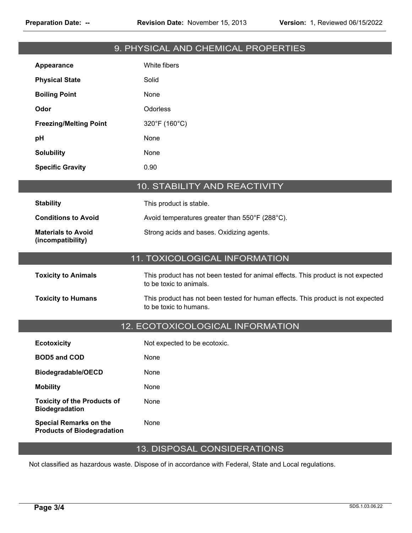# 9. PHYSICAL AND CHEMICAL PROPERTIES

| Appearance                    | White fibers  |
|-------------------------------|---------------|
| <b>Physical State</b>         | Solid         |
| <b>Boiling Point</b>          | None          |
| Odor                          | Odorless      |
| <b>Freezing/Melting Point</b> | 320°F (160°C) |
| рH                            | None          |
| <b>Solubility</b>             | None          |
| <b>Specific Gravity</b>       | 0.90          |

# 10. STABILITY AND REACTIVITY

| <b>Stability</b>                               | This product is stable.                        |
|------------------------------------------------|------------------------------------------------|
| <b>Conditions to Avoid</b>                     | Avoid temperatures greater than 550°F (288°C). |
| <b>Materials to Avoid</b><br>(incompatibility) | Strong acids and bases. Oxidizing agents.      |

# 11. TOXICOLOGICAL INFORMATION

| <b>Toxicity to Animals</b> | This product has not been tested for animal effects. This product is not expected<br>to be toxic to animals. |
|----------------------------|--------------------------------------------------------------------------------------------------------------|
| <b>Toxicity to Humans</b>  | This product has not been tested for human effects. This product is not expected<br>to be toxic to humans.   |

#### 12. ECOTOXICOLOGICAL INFORMATION

| <b>Ecotoxicity</b>                                          | Not expected to be ecotoxic. |
|-------------------------------------------------------------|------------------------------|
| <b>BOD5 and COD</b>                                         | None                         |
| Biodegradable/OECD                                          | None                         |
| <b>Mobility</b>                                             | None                         |
| <b>Toxicity of the Products of</b><br><b>Biodegradation</b> | None                         |
| Special Remarks on the<br><b>Products of Biodegradation</b> | None                         |

# 13. DISPOSAL CONSIDERATIONS

Not classified as hazardous waste. Dispose of in accordance with Federal, State and Local regulations.